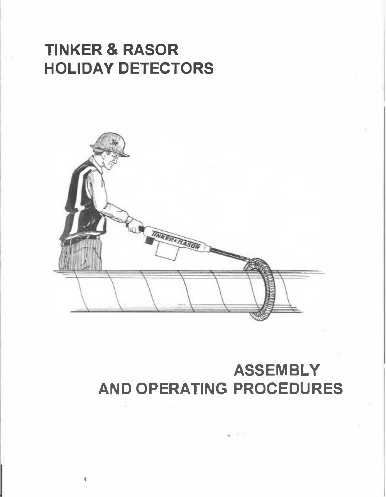### **TINKER & RASOR HOLIDAY DETECTORS**

•



### **ASSEMBLY AND OPERATING PROCEDURES**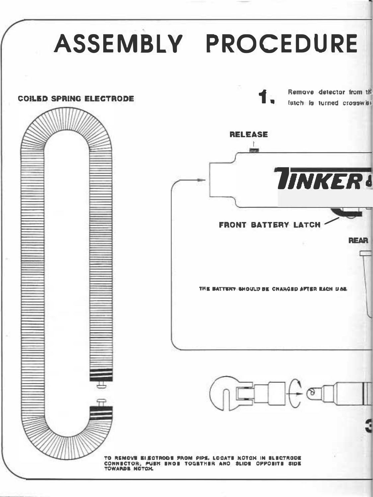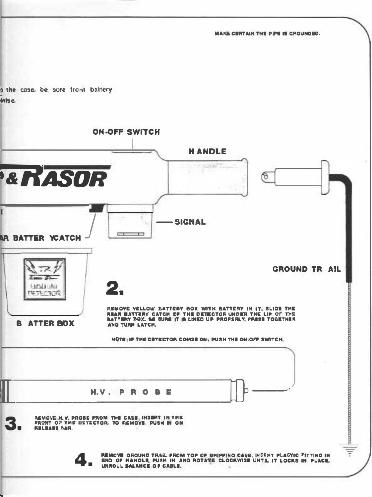**MAKE CERTAIN THE PIPE IS GROUNDED.** 

a the case, be sure front baltery **July e.** 

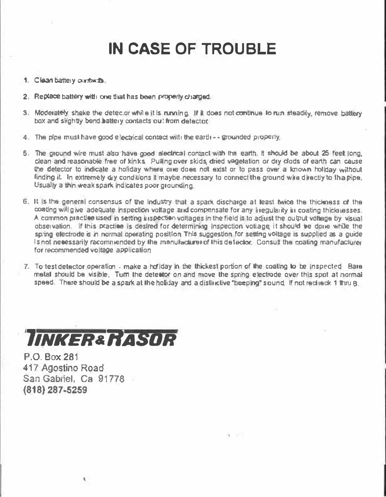## **IN CASE OF TROUBLE**

- **1.** Clean battery contacts.
- **2. Replace battery willl one that has been properly charged.**
- **3. Moderately shake the detector while it is running. If it does not continue to run steadily, remove battery** box and slightly bend **battery contacts out from detector**.
- **4. The pipe must have good e ectrica l contact with Ille earth •• grounded properly.**
- 5. The ground wire must also have good alectrical contact with the earth. It should be about 25 feel long, clean and reasonable free of kinks. Pulling over skids, dried vegetation or dry clods of earth can cause the detector to indicate a holiday where one does not exist or to pass over a known holday without **finding it. In extremely dry conditions it maybe necessary to connect the ground wire directly to tha pipe.** Usually a thin weak spark indicates poor grounding.
- 6. It is the general consensus of the Industry that a spark discharge at least twice the thickness of the coating will give adequate inspection voltage and compensate for any inegularity in coating thicknesses. A common practice used in setting inspection voltages in the field is to adjust the output voltage by visual **observation. f thls practice s desired for determ ning nspect on vottage, it shou d be done whiJe the** spring electrode is in normal operating position. This suggestion for setting voltage is supplied as a guide<br>Least content in the contracted by the consultation of this detection of consult the contine can feel use Is not necessarily recommended by the manufacturer of this detector. Consult the coating manufacturer **for recommended vo tage application.**
- **7. To test detector operat on - make a hof day n the thickest portion or the coating to be nspected. Bare** metal should be visible. Turn the detector on and move the spring electrode over this spot at normal speed. There should be a spark at the holiday and a distinctive "beeping" sound. If not reciteck 1 thru 8

'

# *llNKER&ttASDR*

**P.O. Box 281 417 Agostino Road San Gabriel, Ca 91778 (818) 287-5259**

t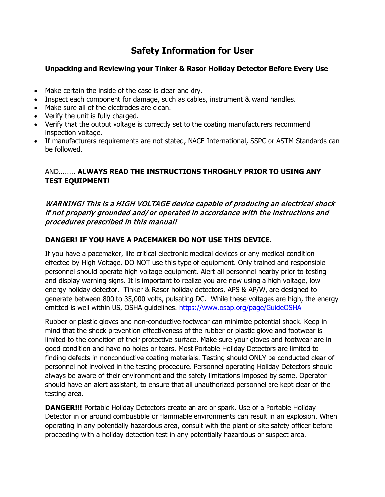### **Safety Information for User**

#### **Unpacking and Reviewing your Tinker & Rasor Holiday Detector Before Every Use**

- Make certain the inside of the case is clear and dry.
- Inspect each component for damage, such as cables, instrument & wand handles.
- Make sure all of the electrodes are clean.
- Verify the unit is fully charged.
- Verify that the output voltage is correctly set to the coating manufacturers recommend inspection voltage.
- If manufacturers requirements are not stated, NACE International, SSPC or ASTM Standards can be followed.

#### AND……… **ALWAYS READ THE INSTRUCTIONS THROGHLY PRIOR TO USING ANY TEST EQUIPMENT!**

#### WARNING! This is a HIGH VOLTAGE device capable of producing an electrical shock if not properly grounded and/or operated in accordance with the instructions and procedures prescribed in this manual!

#### **DANGER! IF YOU HAVE A PACEMAKER DO NOT USE THIS DEVICE.**

If you have a pacemaker, life critical electronic medical devices or any medical condition effected by High Voltage, DO NOT use this type of equipment. Only trained and responsible personnel should operate high voltage equipment. Alert all personnel nearby prior to testing and display warning signs. It is important to realize you are now using a high voltage, low energy holiday detector. Tinker & Rasor holiday detectors, APS & AP/W, are designed to generate between 800 to 35,000 volts, pulsating DC. While these voltages are high, the energy emitted is well within US, OSHA guidelines.<https://www.osap.org/page/GuideOSHA>

Rubber or plastic gloves and non-conductive footwear can minimize potential shock. Keep in mind that the shock prevention effectiveness of the rubber or plastic glove and footwear is limited to the condition of their protective surface. Make sure your gloves and footwear are in good condition and have no holes or tears. Most Portable Holiday Detectors are limited to finding defects in nonconductive coating materials. Testing should ONLY be conducted clear of personnel not involved in the testing procedure. Personnel operating Holiday Detectors should always be aware of their environment and the safety limitations imposed by same. Operator should have an alert assistant, to ensure that all unauthorized personnel are kept clear of the testing area.

**DANGER!!!** Portable Holiday Detectors create an arc or spark. Use of a Portable Holiday Detector in or around combustible or flammable environments can result in an explosion. When operating in any potentially hazardous area, consult with the plant or site safety officer before proceeding with a holiday detection test in any potentially hazardous or suspect area.